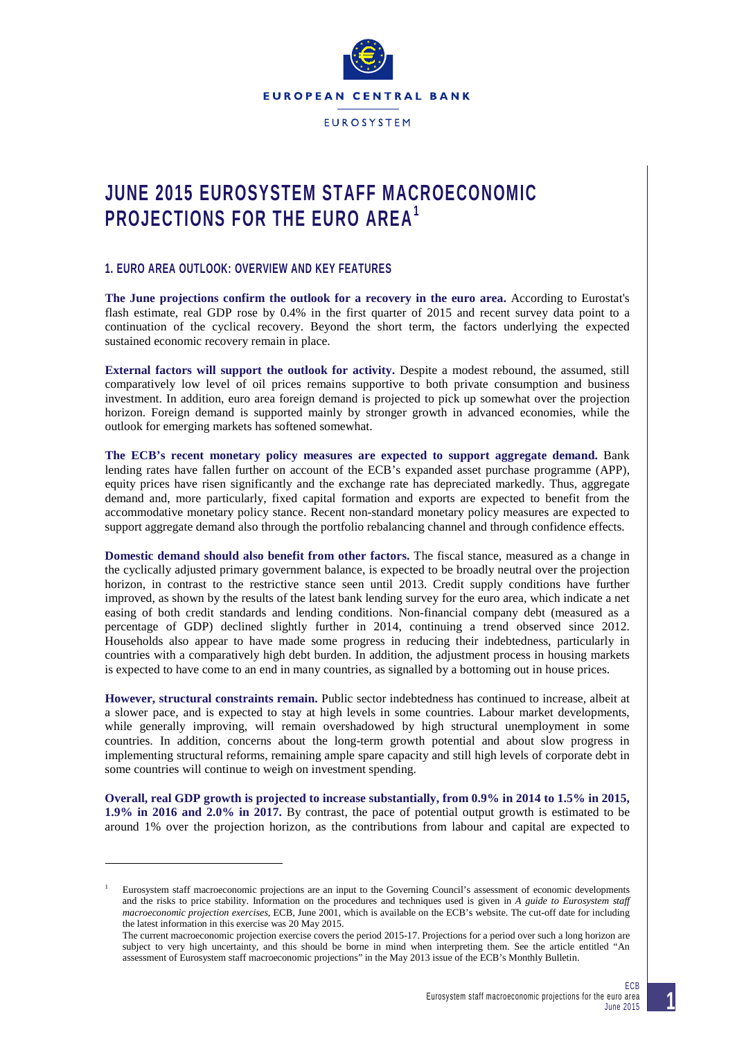

**FUROSYSTEM** 

# **JUNE 2015 EUROSYSTEM STAFF MACROECONOMIC PROJECTIONS FOR THE EURO AREA[1](#page-0-0)**

# **1. EURO AREA OUTLOOK: OVERVIEW AND KEY FEATURES**

1

**The June projections confirm the outlook for a recovery in the euro area.** According to Eurostat's flash estimate, real GDP rose by 0.4% in the first quarter of 2015 and recent survey data point to a continuation of the cyclical recovery. Beyond the short term, the factors underlying the expected sustained economic recovery remain in place.

**External factors will support the outlook for activity.** Despite a modest rebound, the assumed, still comparatively low level of oil prices remains supportive to both private consumption and business investment. In addition, euro area foreign demand is projected to pick up somewhat over the projection horizon. Foreign demand is supported mainly by stronger growth in advanced economies, while the outlook for emerging markets has softened somewhat.

**The ECB's recent monetary policy measures are expected to support aggregate demand.** Bank lending rates have fallen further on account of the ECB's expanded asset purchase programme (APP), equity prices have risen significantly and the exchange rate has depreciated markedly. Thus, aggregate demand and, more particularly, fixed capital formation and exports are expected to benefit from the accommodative monetary policy stance. Recent non-standard monetary policy measures are expected to support aggregate demand also through the portfolio rebalancing channel and through confidence effects.

**Domestic demand should also benefit from other factors.** The fiscal stance, measured as a change in the cyclically adjusted primary government balance, is expected to be broadly neutral over the projection horizon, in contrast to the restrictive stance seen until 2013. Credit supply conditions have further improved, as shown by the results of the latest bank lending survey for the euro area, which indicate a net easing of both credit standards and lending conditions. Non-financial company debt (measured as a percentage of GDP) declined slightly further in 2014, continuing a trend observed since 2012. Households also appear to have made some progress in reducing their indebtedness, particularly in countries with a comparatively high debt burden. In addition, the adjustment process in housing markets is expected to have come to an end in many countries, as signalled by a bottoming out in house prices.

**However, structural constraints remain.** Public sector indebtedness has continued to increase, albeit at a slower pace, and is expected to stay at high levels in some countries. Labour market developments, while generally improving, will remain overshadowed by high structural unemployment in some countries. In addition, concerns about the long-term growth potential and about slow progress in implementing structural reforms, remaining ample spare capacity and still high levels of corporate debt in some countries will continue to weigh on investment spending.

**Overall, real GDP growth is projected to increase substantially, from 0.9% in 2014 to 1.5% in 2015, 1.9% in 2016 and 2.0% in 2017.** By contrast, the pace of potential output growth is estimated to be around 1% over the projection horizon, as the contributions from labour and capital are expected to

<span id="page-0-0"></span><sup>1</sup> Eurosystem staff macroeconomic projections are an input to the Governing Council's assessment of economic developments and the risks to price stability. Information on the procedures and techniques used is given in *A guide to Eurosystem staff macroeconomic projection exercises*, ECB, June 2001, which is available on the ECB's website. The cut-off date for including the latest information in this exercise was 20 May 2015.

The current macroeconomic projection exercise covers the period 2015-17. Projections for a period over such a long horizon are subject to very high uncertainty, and this should be borne in mind when interpreting them. See the article entitled "An assessment of Eurosystem staff macroeconomic projections" in the May 2013 issue of the ECB's Monthly Bulletin.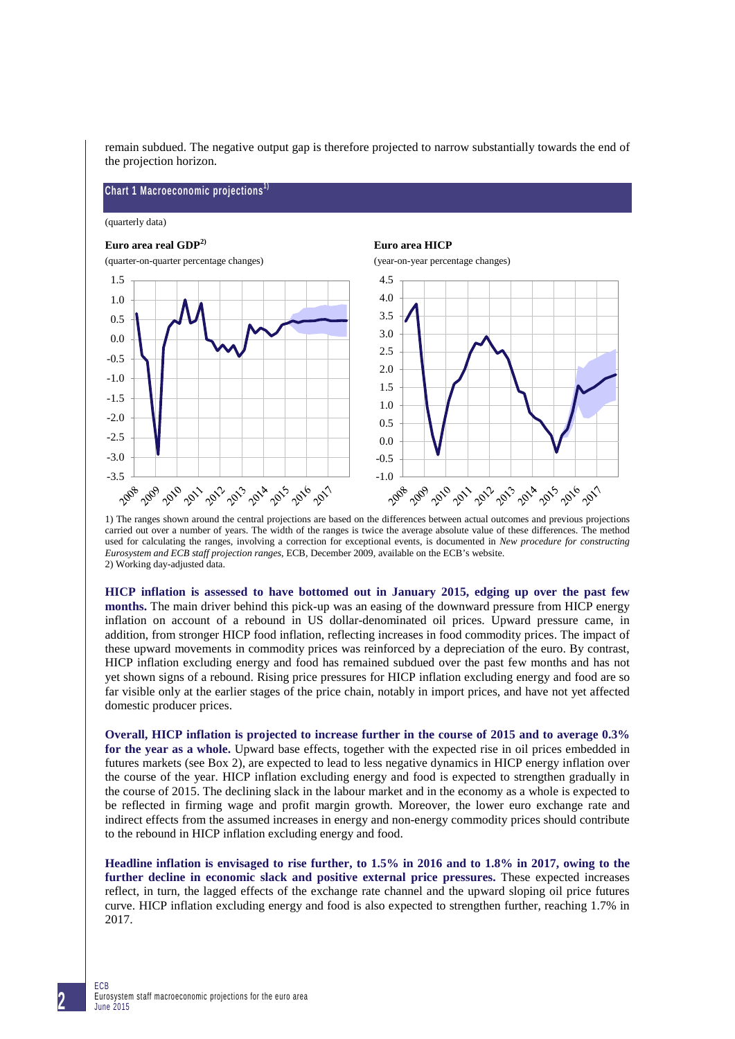remain subdued. The negative output gap is therefore projected to narrow substantially towards the end of the projection horizon.

# **Chart 1 Macroeconomic projections1 )**

(quarterly data)

# **Euro area real GDP2) Euro area HICP**

(quarter-on-quarter percentage changes) (year-on-year percentage changes)





1) The ranges shown around the central projections are based on the differences between actual outcomes and previous projections carried out over a number of years. The width of the ranges is twice the average absolute value of these differences. The method used for calculating the ranges, involving a correction for exceptional events, is documented in *New procedure for constructing Eurosystem and ECB staff projection ranges*, ECB, December 2009, available on the ECB's website. 2) Working day-adjusted data.

**HICP inflation is assessed to have bottomed out in January 2015, edging up over the past few months.** The main driver behind this pick-up was an easing of the downward pressure from HICP energy inflation on account of a rebound in US dollar-denominated oil prices. Upward pressure came, in addition, from stronger HICP food inflation, reflecting increases in food commodity prices. The impact of these upward movements in commodity prices was reinforced by a depreciation of the euro. By contrast, HICP inflation excluding energy and food has remained subdued over the past few months and has not yet shown signs of a rebound. Rising price pressures for HICP inflation excluding energy and food are so far visible only at the earlier stages of the price chain, notably in import prices, and have not yet affected domestic producer prices.

**Overall, HICP inflation is projected to increase further in the course of 2015 and to average 0.3% for the year as a whole.** Upward base effects, together with the expected rise in oil prices embedded in futures markets (see Box 2), are expected to lead to less negative dynamics in HICP energy inflation over the course of the year. HICP inflation excluding energy and food is expected to strengthen gradually in the course of 2015. The declining slack in the labour market and in the economy as a whole is expected to be reflected in firming wage and profit margin growth. Moreover, the lower euro exchange rate and indirect effects from the assumed increases in energy and non-energy commodity prices should contribute to the rebound in HICP inflation excluding energy and food.

**Headline inflation is envisaged to rise further, to 1.5% in 2016 and to 1.8% in 2017, owing to the further decline in economic slack and positive external price pressures.** These expected increases reflect, in turn, the lagged effects of the exchange rate channel and the upward sloping oil price futures curve. HICP inflation excluding energy and food is also expected to strengthen further, reaching 1.7% in 2017.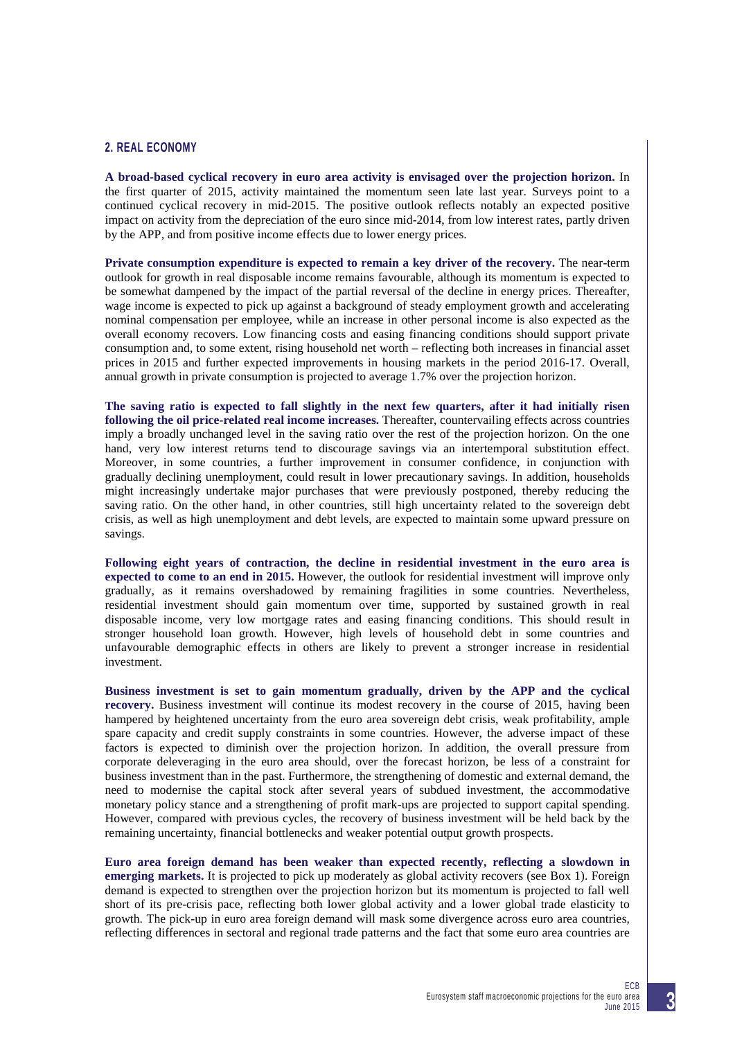# **2. REAL ECONOMY**

**A broad-based cyclical recovery in euro area activity is envisaged over the projection horizon.** In the first quarter of 2015, activity maintained the momentum seen late last year. Surveys point to a continued cyclical recovery in mid-2015. The positive outlook reflects notably an expected positive impact on activity from the depreciation of the euro since mid-2014, from low interest rates, partly driven by the APP, and from positive income effects due to lower energy prices.

**Private consumption expenditure is expected to remain a key driver of the recovery.** The near-term outlook for growth in real disposable income remains favourable, although its momentum is expected to be somewhat dampened by the impact of the partial reversal of the decline in energy prices. Thereafter, wage income is expected to pick up against a background of steady employment growth and accelerating nominal compensation per employee, while an increase in other personal income is also expected as the overall economy recovers. Low financing costs and easing financing conditions should support private consumption and, to some extent, rising household net worth – reflecting both increases in financial asset prices in 2015 and further expected improvements in housing markets in the period 2016-17. Overall, annual growth in private consumption is projected to average 1.7% over the projection horizon.

**The saving ratio is expected to fall slightly in the next few quarters, after it had initially risen following the oil price-related real income increases.** Thereafter, countervailing effects across countries imply a broadly unchanged level in the saving ratio over the rest of the projection horizon. On the one hand, very low interest returns tend to discourage savings via an intertemporal substitution effect. Moreover, in some countries, a further improvement in consumer confidence, in conjunction with gradually declining unemployment, could result in lower precautionary savings. In addition, households might increasingly undertake major purchases that were previously postponed, thereby reducing the saving ratio. On the other hand, in other countries, still high uncertainty related to the sovereign debt crisis, as well as high unemployment and debt levels, are expected to maintain some upward pressure on savings.

**Following eight years of contraction, the decline in residential investment in the euro area is expected to come to an end in 2015.** However, the outlook for residential investment will improve only gradually, as it remains overshadowed by remaining fragilities in some countries. Nevertheless, residential investment should gain momentum over time, supported by sustained growth in real disposable income, very low mortgage rates and easing financing conditions. This should result in stronger household loan growth. However, high levels of household debt in some countries and unfavourable demographic effects in others are likely to prevent a stronger increase in residential investment.

**Business investment is set to gain momentum gradually, driven by the APP and the cyclical recovery.** Business investment will continue its modest recovery in the course of 2015, having been hampered by heightened uncertainty from the euro area sovereign debt crisis, weak profitability, ample spare capacity and credit supply constraints in some countries. However, the adverse impact of these factors is expected to diminish over the projection horizon. In addition, the overall pressure from corporate deleveraging in the euro area should, over the forecast horizon, be less of a constraint for business investment than in the past. Furthermore, the strengthening of domestic and external demand, the need to modernise the capital stock after several years of subdued investment, the accommodative monetary policy stance and a strengthening of profit mark-ups are projected to support capital spending. However, compared with previous cycles, the recovery of business investment will be held back by the remaining uncertainty, financial bottlenecks and weaker potential output growth prospects.

**Euro area foreign demand has been weaker than expected recently, reflecting a slowdown in emerging markets.** It is projected to pick up moderately as global activity recovers (see Box 1). Foreign demand is expected to strengthen over the projection horizon but its momentum is projected to fall well short of its pre-crisis pace, reflecting both lower global activity and a lower global trade elasticity to growth. The pick-up in euro area foreign demand will mask some divergence across euro area countries, reflecting differences in sectoral and regional trade patterns and the fact that some euro area countries are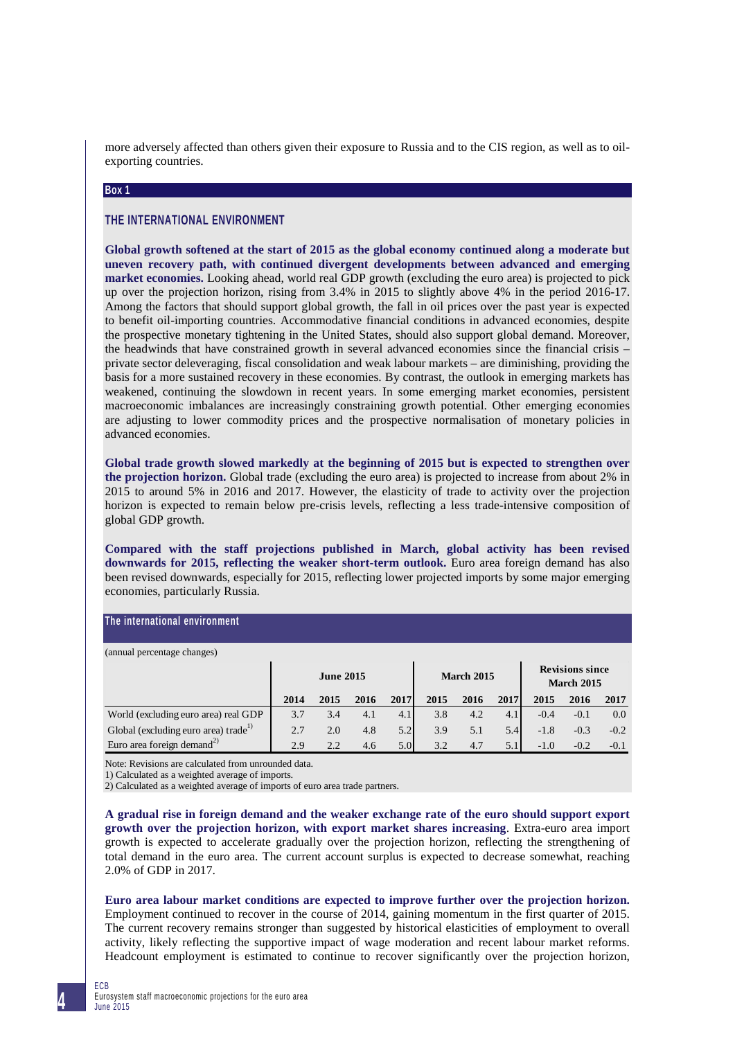more adversely affected than others given their exposure to Russia and to the CIS region, as well as to oilexporting countries.

#### **Box 1**

# **THE INTERNATIONAL ENVIRONMENT**

**Global growth softened at the start of 2015 as the global economy continued along a moderate but uneven recovery path, with continued divergent developments between advanced and emerging market economies.** Looking ahead, world real GDP growth (excluding the euro area) is projected to pick up over the projection horizon, rising from 3.4% in 2015 to slightly above 4% in the period 2016-17. Among the factors that should support global growth, the fall in oil prices over the past year is expected to benefit oil-importing countries. Accommodative financial conditions in advanced economies, despite the prospective monetary tightening in the United States, should also support global demand. Moreover, the headwinds that have constrained growth in several advanced economies since the financial crisis – private sector deleveraging, fiscal consolidation and weak labour markets – are diminishing, providing the basis for a more sustained recovery in these economies. By contrast, the outlook in emerging markets has weakened, continuing the slowdown in recent years. In some emerging market economies, persistent macroeconomic imbalances are increasingly constraining growth potential. Other emerging economies are adjusting to lower commodity prices and the prospective normalisation of monetary policies in advanced economies.

**Global trade growth slowed markedly at the beginning of 2015 but is expected to strengthen over the projection horizon.** Global trade (excluding the euro area) is projected to increase from about 2% in 2015 to around 5% in 2016 and 2017. However, the elasticity of trade to activity over the projection horizon is expected to remain below pre-crisis levels, reflecting a less trade-intensive composition of global GDP growth.

**Compared with the staff projections published in March, global activity has been revised downwards for 2015, reflecting the weaker short-term outlook.** Euro area foreign demand has also been revised downwards, especially for 2015, reflecting lower projected imports by some major emerging economies, particularly Russia.

# **The international environment**

(annual percentage changes)

|                                                  | <b>June 2015</b> |      |      |                  |      | March 2015 |      | <b>Revisions since</b><br><b>March 2015</b> |        |        |
|--------------------------------------------------|------------------|------|------|------------------|------|------------|------|---------------------------------------------|--------|--------|
|                                                  | 2014             | 2015 | 2016 | 2017             | 2015 | 2016       | 2017 | 2015                                        | 2016   | 2017   |
| World (excluding euro area) real GDP             | 3.7              | 3.4  | 4.1  | 4.1              | 3.8  | 4.2        | 4.1  | $-0.4$                                      | $-0.1$ | 0.0    |
| Global (excluding euro area) trade <sup>1)</sup> | 2.7              | 2.0  | 4.8  | 5.2 <sub>1</sub> | 3.9  | 5.1        | 5.4  | $-1.8$                                      | $-0.3$ | $-0.2$ |
| Euro area foreign demand <sup>2)</sup>           | 2.9              | 2.2  | 4.6  | 5.01             | 3.2  | 4.7        | 5.1  | $-1.0$                                      | $-0.2$ | $-0.1$ |

Note: Revisions are calculated from unrounded data.

1) Calculated as a weighted average of imports.

2) Calculated as a weighted average of imports of euro area trade partners.

**A gradual rise in foreign demand and the weaker exchange rate of the euro should support export growth over the projection horizon, with export market shares increasing**. Extra-euro area import growth is expected to accelerate gradually over the projection horizon, reflecting the strengthening of total demand in the euro area. The current account surplus is expected to decrease somewhat, reaching 2.0% of GDP in 2017.

**Euro area labour market conditions are expected to improve further over the projection horizon.**  Employment continued to recover in the course of 2014, gaining momentum in the first quarter of 2015. The current recovery remains stronger than suggested by historical elasticities of employment to overall activity, likely reflecting the supportive impact of wage moderation and recent labour market reforms. Headcount employment is estimated to continue to recover significantly over the projection horizon,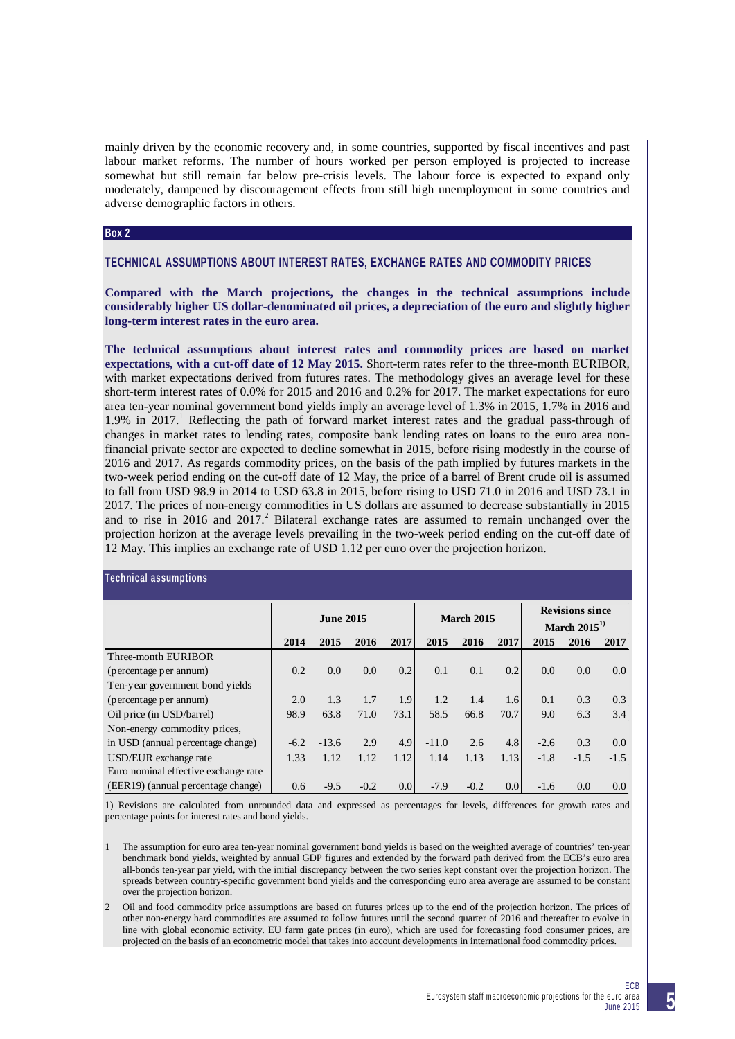mainly driven by the economic recovery and, in some countries, supported by fiscal incentives and past labour market reforms. The number of hours worked per person employed is projected to increase somewhat but still remain far below pre-crisis levels. The labour force is expected to expand only moderately, dampened by discouragement effects from still high unemployment in some countries and adverse demographic factors in others.

# **Box 2**

# **TECHNICAL ASSUMPTIONS ABOUT INTEREST RATES, EXCHANGE RATES AND COMMODITY PRICES**

**Compared with the March projections, the changes in the technical assumptions include considerably higher US dollar-denominated oil prices, a depreciation of the euro and slightly higher long-term interest rates in the euro area.**

**The technical assumptions about interest rates and commodity prices are based on market expectations, with a cut-off date of 12 May 2015.** Short-term rates refer to the three-month EURIBOR, with market expectations derived from futures rates. The methodology gives an average level for these short-term interest rates of 0.0% for 2015 and 2016 and 0.2% for 2017. The market expectations for euro area ten-year nominal government bond yields imply an average level of 1.3% in 2015, 1.7% in 2016 and 1.9% in 2017.<sup>1</sup> Reflecting the path of forward market interest rates and the gradual pass-through of changes in market rates to lending rates, composite bank lending rates on loans to the euro area nonfinancial private sector are expected to decline somewhat in 2015, before rising modestly in the course of 2016 and 2017. As regards commodity prices, on the basis of the path implied by futures markets in the two-week period ending on the cut-off date of 12 May, the price of a barrel of Brent crude oil is assumed to fall from USD 98.9 in 2014 to USD 63.8 in 2015, before rising to USD 71.0 in 2016 and USD 73.1 in 2017. The prices of non-energy commodities in US dollars are assumed to decrease substantially in 2015 and to rise in 2016 and 2017.<sup>2</sup> Bilateral exchange rates are assumed to remain unchanged over the projection horizon at the average levels prevailing in the two-week period ending on the cut-off date of 12 May. This implies an exchange rate of USD 1.12 per euro over the projection horizon.

| Technical assumptions |
|-----------------------|
|-----------------------|

|                                      | <b>June 2015</b>             |         |        |                  | <b>March 2015</b> |        |                  | <b>Revisions since</b><br>March $20151$ |        |        |
|--------------------------------------|------------------------------|---------|--------|------------------|-------------------|--------|------------------|-----------------------------------------|--------|--------|
|                                      | 2017<br>2014<br>2015<br>2016 |         |        |                  | 2015              | 2016   | 2017             | 2015                                    | 2016   | 2017   |
| Three-month EURIBOR                  |                              |         |        |                  |                   |        |                  |                                         |        |        |
| (percentage per annum)               | 0.2                          | 0.0     | 0.0    | 0.2              | 0.1               | 0.1    | 0.2              | 0.0                                     | 0.0    | 0.0    |
| Ten-year government bond yields      |                              |         |        |                  |                   |        |                  |                                         |        |        |
| (percentage per annum)               | 2.0                          | 1.3     | 1.7    | 1.9              | 1.2               | 1.4    | 1.6              | 0.1                                     | 0.3    | 0.3    |
| Oil price (in USD/barrel)            | 98.9                         | 63.8    | 71.0   | 73.1             | 58.5              | 66.8   | 70.7             | 9.0                                     | 6.3    | 3.4    |
| Non-energy commodity prices,         |                              |         |        |                  |                   |        |                  |                                         |        |        |
| in USD (annual percentage change)    | $-6.2$                       | $-13.6$ | 2.9    | 4.9              | $-11.0$           | 2.6    | 4.8              | $-2.6$                                  | 0.3    | 0.0    |
| USD/EUR exchange rate                | 1.33                         | 1.12    | 1.12   | 1.12             | 1.14              | 1.13   | 1.13             | $-1.8$                                  | $-1.5$ | $-1.5$ |
| Euro nominal effective exchange rate |                              |         |        |                  |                   |        |                  |                                         |        |        |
| (EER19) (annual percentage change)   | 0.6                          | $-9.5$  | $-0.2$ | 0.0 <sub>l</sub> | $-7.9$            | $-0.2$ | 0.0 <sub>l</sub> | $-1.6$                                  | 0.0    | 0.0    |

1) Revisions are calculated from unrounded data and expressed as percentages for levels, differences for growth rates and percentage points for interest rates and bond yields.

1 The assumption for euro area ten-year nominal government bond yields is based on the weighted average of countries' ten-year benchmark bond yields, weighted by annual GDP figures and extended by the forward path derived from the ECB's euro area all-bonds ten-year par yield, with the initial discrepancy between the two series kept constant over the projection horizon. The spreads between country-specific government bond yields and the corresponding euro area average are assumed to be constant over the projection horizon.

2 Oil and food commodity price assumptions are based on futures prices up to the end of the projection horizon. The prices of other non-energy hard commodities are assumed to follow futures until the second quarter of 2016 and thereafter to evolve in line with global economic activity. EU farm gate prices (in euro), which are used for forecasting food consumer prices, are projected on the basis of an econometric model that takes into account developments in international food commodity prices.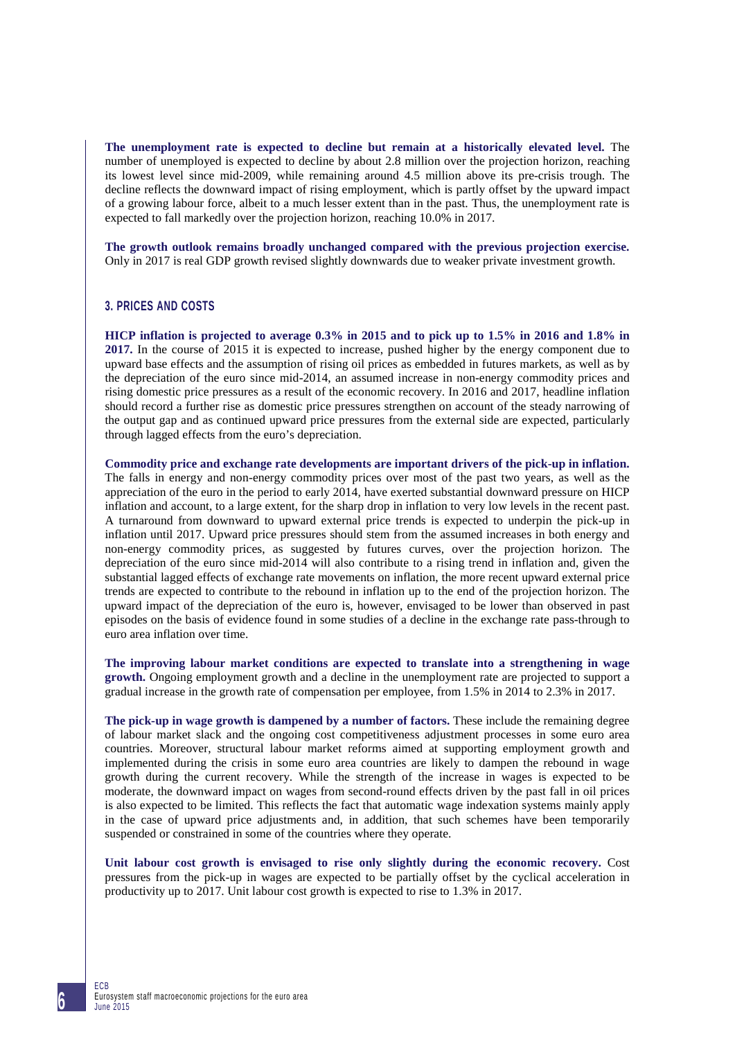**The unemployment rate is expected to decline but remain at a historically elevated level.** The number of unemployed is expected to decline by about 2.8 million over the projection horizon, reaching its lowest level since mid-2009, while remaining around 4.5 million above its pre-crisis trough. The decline reflects the downward impact of rising employment, which is partly offset by the upward impact of a growing labour force, albeit to a much lesser extent than in the past. Thus, the unemployment rate is expected to fall markedly over the projection horizon, reaching 10.0% in 2017.

**The growth outlook remains broadly unchanged compared with the previous projection exercise.** Only in 2017 is real GDP growth revised slightly downwards due to weaker private investment growth.

# **3. PRICES AND COSTS**

**HICP inflation is projected to average 0.3% in 2015 and to pick up to 1.5% in 2016 and 1.8% in 2017.** In the course of 2015 it is expected to increase, pushed higher by the energy component due to upward base effects and the assumption of rising oil prices as embedded in futures markets, as well as by the depreciation of the euro since mid-2014, an assumed increase in non-energy commodity prices and rising domestic price pressures as a result of the economic recovery. In 2016 and 2017, headline inflation should record a further rise as domestic price pressures strengthen on account of the steady narrowing of the output gap and as continued upward price pressures from the external side are expected, particularly through lagged effects from the euro's depreciation.

**Commodity price and exchange rate developments are important drivers of the pick-up in inflation.** The falls in energy and non-energy commodity prices over most of the past two years, as well as the appreciation of the euro in the period to early 2014, have exerted substantial downward pressure on HICP inflation and account, to a large extent, for the sharp drop in inflation to very low levels in the recent past. A turnaround from downward to upward external price trends is expected to underpin the pick-up in inflation until 2017. Upward price pressures should stem from the assumed increases in both energy and non-energy commodity prices, as suggested by futures curves, over the projection horizon. The depreciation of the euro since mid-2014 will also contribute to a rising trend in inflation and, given the substantial lagged effects of exchange rate movements on inflation, the more recent upward external price trends are expected to contribute to the rebound in inflation up to the end of the projection horizon. The upward impact of the depreciation of the euro is, however, envisaged to be lower than observed in past episodes on the basis of evidence found in some studies of a decline in the exchange rate pass-through to euro area inflation over time.

**The improving labour market conditions are expected to translate into a strengthening in wage growth.** Ongoing employment growth and a decline in the unemployment rate are projected to support a gradual increase in the growth rate of compensation per employee, from 1.5% in 2014 to 2.3% in 2017.

**The pick-up in wage growth is dampened by a number of factors.** These include the remaining degree of labour market slack and the ongoing cost competitiveness adjustment processes in some euro area countries. Moreover, structural labour market reforms aimed at supporting employment growth and implemented during the crisis in some euro area countries are likely to dampen the rebound in wage growth during the current recovery. While the strength of the increase in wages is expected to be moderate, the downward impact on wages from second-round effects driven by the past fall in oil prices is also expected to be limited. This reflects the fact that automatic wage indexation systems mainly apply in the case of upward price adjustments and, in addition, that such schemes have been temporarily suspended or constrained in some of the countries where they operate.

**Unit labour cost growth is envisaged to rise only slightly during the economic recovery.** Cost pressures from the pick-up in wages are expected to be partially offset by the cyclical acceleration in productivity up to 2017. Unit labour cost growth is expected to rise to 1.3% in 2017.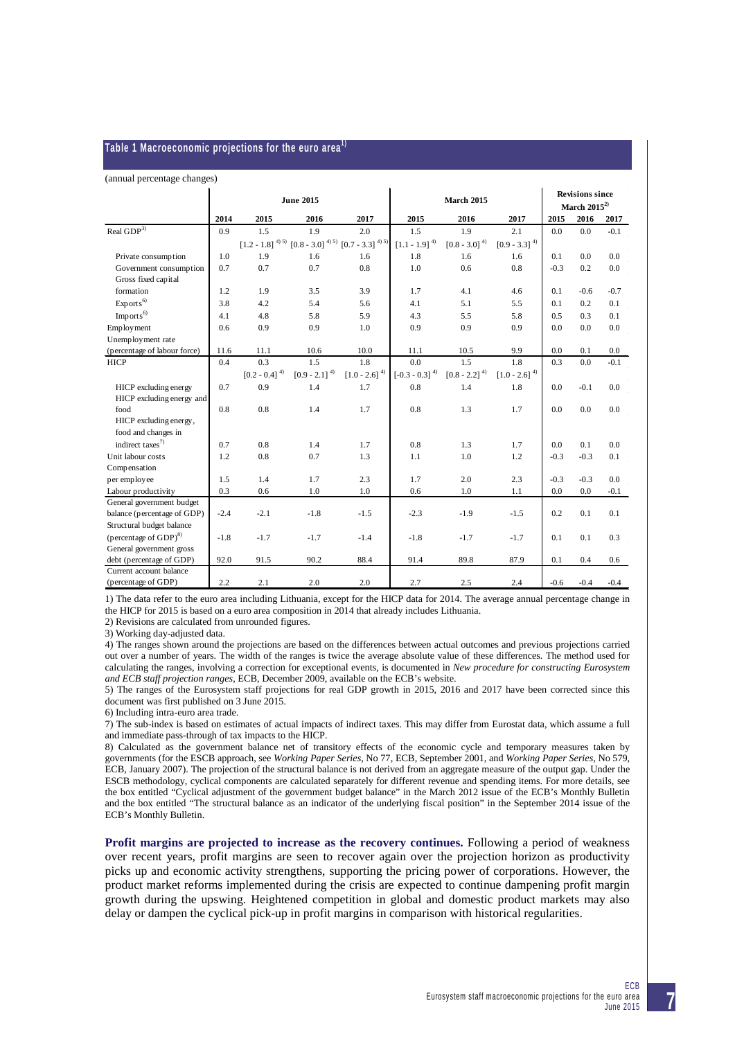### **Table 1 Macroeconomic projections for the euro area1)**

#### (annual percentage changes)

|                                   | <b>June 2015</b> |                                    |                                                               |                                         | <b>March 2015</b>                   | <b>Revisions since</b><br>March $2015^2$ |                                    |        |        |        |
|-----------------------------------|------------------|------------------------------------|---------------------------------------------------------------|-----------------------------------------|-------------------------------------|------------------------------------------|------------------------------------|--------|--------|--------|
|                                   | 2014             | 2015                               | 2016                                                          | 2017                                    | 2015                                | 2016                                     | 2017                               | 2015   | 2016   | 2017   |
| Real $GDP^{3)}$                   | 0.9              | 1.5                                | 1.9                                                           | 2.0                                     | 1.5                                 | 1.9                                      | 2.1                                | 0.0    | 0.0    | $-0.1$ |
|                                   |                  |                                    | $[1.2 - 1.8]$ <sup>4) 5)</sup> $[0.8 - 3.0]$ <sup>4) 5)</sup> | $[0.7$ - $3.3]$ $^{\rm 4)}$ $^{\rm 5)}$ | $\left[1.1$ - $1.9\right]$ $^{4)}$  | $[0.8 - 3.0]$ <sup>4)</sup>              | $\left[0.9$ - $3.3\right]$ $^{4)}$ |        |        |        |
| Private consumption               | 1.0              | 1.9                                | 1.6                                                           | 1.6                                     | 1.8                                 | 1.6                                      | 1.6                                | 0.1    | 0.0    | 0.0    |
| Government consumption            | 0.7              | 0.7                                | 0.7                                                           | 0.8                                     | 1.0                                 | 0.6                                      | 0.8                                | $-0.3$ | 0.2    | 0.0    |
| Gross fixed capital               |                  |                                    |                                                               |                                         |                                     |                                          |                                    |        |        |        |
| formation                         | 1.2              | 1.9                                | 3.5                                                           | 3.9                                     | 1.7                                 | 4.1                                      | 4.6                                | 0.1    | $-0.6$ | $-0.7$ |
| Exports <sup>6</sup>              | 3.8              | 4.2                                | 5.4                                                           | 5.6                                     | 4.1                                 | 5.1                                      | 5.5                                | 0.1    | 0.2    | 0.1    |
| Imports <sup>6</sup>              | 4.1              | 4.8                                | 5.8                                                           | 5.9                                     | 4.3                                 | 5.5                                      | 5.8                                | 0.5    | 0.3    | 0.1    |
| Employment                        | 0.6              | 0.9                                | 0.9                                                           | 1.0                                     | 0.9                                 | 0.9                                      | 0.9                                | 0.0    | 0.0    | 0.0    |
| Unemployment rate                 |                  |                                    |                                                               |                                         |                                     |                                          |                                    |        |        |        |
| (percentage of labour force)      | 11.6             | 11.1                               | 10.6                                                          | 10.0                                    | 11.1                                | 10.5                                     | 9.9                                | 0.0    | 0.1    | 0.0    |
| <b>HICP</b>                       | 0.4              | 0.3                                | 1.5                                                           | 1.8                                     | 0.0                                 | 1.5                                      | 1.8                                | 0.3    | 0.0    | $-0.1$ |
|                                   |                  | $\left[0.2$ - $0.4\right]$ $^{4)}$ | $\left[0.9$ - $2.1\right]$ $^{4)}$                            | $\left[1.0$ - $2.6\right]$ $^{4)}$      | $\left[-0.3$ - $0.3\right]$ $^{4)}$ | $[0.8 - 2.2]^{4}$                        | $\left[1.0$ - $2.6\right]$ $^{4)}$ |        |        |        |
| HICP excluding energy             | 0.7              | 0.9                                | 1.4                                                           | 1.7                                     | 0.8                                 | 1.4                                      | 1.8                                | 0.0    | $-0.1$ | 0.0    |
| HICP excluding energy and         |                  |                                    |                                                               |                                         |                                     |                                          |                                    |        |        |        |
| food                              | 0.8              | 0.8                                | 1.4                                                           | 1.7                                     | 0.8                                 | 1.3                                      | 1.7                                | 0.0    | 0.0    | 0.0    |
| HICP excluding energy,            |                  |                                    |                                                               |                                         |                                     |                                          |                                    |        |        |        |
| food and changes in               |                  |                                    |                                                               |                                         |                                     |                                          |                                    |        |        |        |
| indirect taxes <sup>7)</sup>      | 0.7              | 0.8                                | 1.4                                                           | 1.7                                     | 0.8                                 | 1.3                                      | 1.7                                | 0.0    | 0.1    | 0.0    |
| Unit labour costs                 | 1.2              | 0.8                                | 0.7                                                           | 1.3                                     | 1.1                                 | 1.0                                      | 1.2                                | $-0.3$ | $-0.3$ | 0.1    |
| Compensation                      |                  |                                    |                                                               |                                         |                                     |                                          |                                    |        |        |        |
| per employee                      | 1.5              | 1.4                                | 1.7                                                           | 2.3                                     | 1.7                                 | 2.0                                      | 2.3                                | $-0.3$ | $-0.3$ | 0.0    |
| Labour productivity               | 0.3              | 0.6                                | 1.0                                                           | 1.0                                     | 0.6                                 | 1.0                                      | 1.1                                | 0.0    | 0.0    | $-0.1$ |
| General government budget         |                  |                                    |                                                               |                                         |                                     |                                          |                                    |        |        |        |
| balance (percentage of GDP)       | $-2.4$           | $-2.1$                             | $-1.8$                                                        | $-1.5$                                  | $-2.3$                              | $-1.9$                                   | $-1.5$                             | 0.2    | 0.1    | 0.1    |
| Structural budget balance         |                  |                                    |                                                               |                                         |                                     |                                          |                                    |        |        |        |
| (percentage of GDP) <sup>8)</sup> | $-1.8$           | $-1.7$                             | $-1.7$                                                        | $-1.4$                                  | $-1.8$                              | $-1.7$                                   | $-1.7$                             | 0.1    | 0.1    | 0.3    |
| General government gross          |                  |                                    |                                                               |                                         |                                     |                                          |                                    |        |        |        |
| debt (percentage of GDP)          | 92.0             | 91.5                               | 90.2                                                          | 88.4                                    | 91.4                                | 89.8                                     | 87.9                               | 0.1    | 0.4    | 0.6    |
| Current account balance           |                  |                                    |                                                               |                                         |                                     |                                          |                                    |        |        |        |
| (percentage of GDP)               | 2.2              | 2.1                                | 2.0                                                           | 2.0                                     | 2.7                                 | 2.5                                      | 2.4                                | $-0.6$ | $-0.4$ | $-0.4$ |

1) The data refer to the euro area including Lithuania, except for the HICP data for 2014. The average annual percentage change in the HICP for 2015 is based on a euro area composition in 2014 that already includes Lithuania.

2) Revisions are calculated from unrounded figures.

3) Working day-adjusted data.

4) The ranges shown around the projections are based on the differences between actual outcomes and previous projections carried out over a number of years. The width of the ranges is twice the average absolute value of these differences. The method used for calculating the ranges, involving a correction for exceptional events, is documented in *New procedure for constructing Eurosystem and ECB staff projection ranges*, ECB, December 2009, available on the ECB's website.

5) The ranges of the Eurosystem staff projections for real GDP growth in 2015, 2016 and 2017 have been corrected since this document was first published on 3 June 2015.

6) Including intra-euro area trade.

7) The sub-index is based on estimates of actual impacts of indirect taxes. This may differ from Eurostat data, which assume a full and immediate pass-through of tax impacts to the HICP.

8) Calculated as the government balance net of transitory effects of the economic cycle and temporary measures taken by governments (for the ESCB approach, see *Working Paper Series*, No 77, ECB, September 2001, and *Working Paper Series*, No 579, ECB, January 2007). The projection of the structural balance is not derived from an aggregate measure of the output gap. Under the ESCB methodology, cyclical components are calculated separately for different revenue and spending items. For more details, see the box entitled "Cyclical adjustment of the government budget balance" in the March 2012 issue of the ECB's Monthly Bulletin and the box entitled "The structural balance as an indicator of the underlying fiscal position" in the September 2014 issue of the ECB's Monthly Bulletin.

**Profit margins are projected to increase as the recovery continues.** Following a period of weakness over recent years, profit margins are seen to recover again over the projection horizon as productivity picks up and economic activity strengthens, supporting the pricing power of corporations. However, the product market reforms implemented during the crisis are expected to continue dampening profit margin growth during the upswing. Heightened competition in global and domestic product markets may also delay or dampen the cyclical pick-up in profit margins in comparison with historical regularities.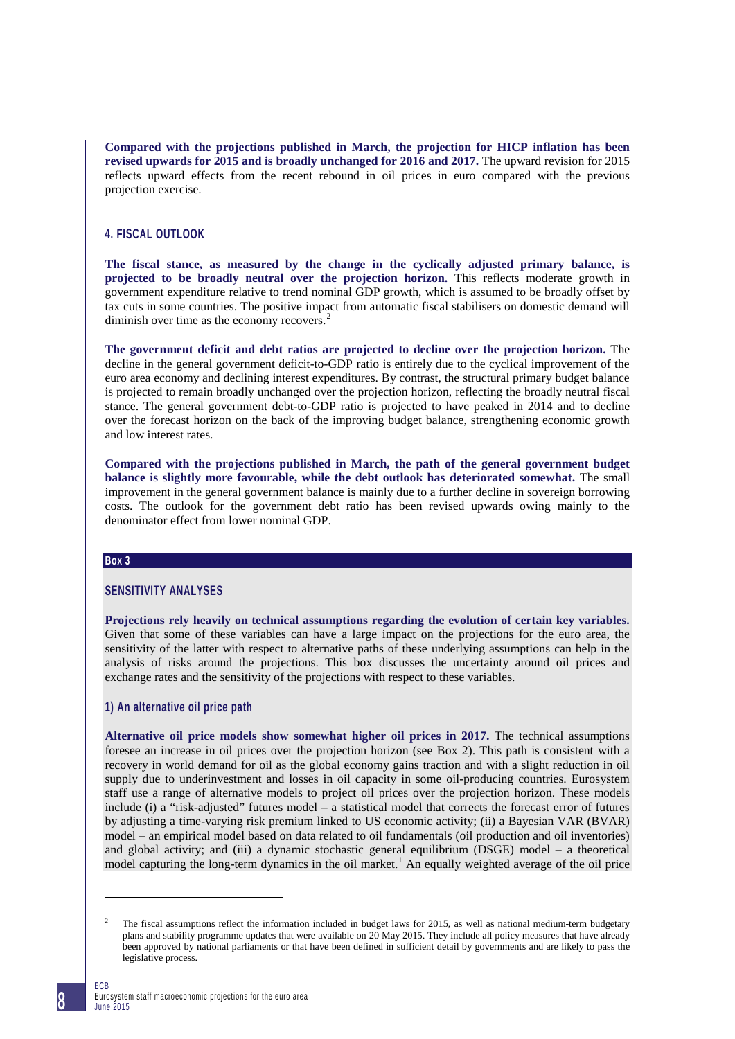**Compared with the projections published in March, the projection for HICP inflation has been revised upwards for 2015 and is broadly unchanged for 2016 and 2017.** The upward revision for 2015 reflects upward effects from the recent rebound in oil prices in euro compared with the previous projection exercise.

# **4. FISCAL OUTLOOK**

**The fiscal stance, as measured by the change in the cyclically adjusted primary balance, is projected to be broadly neutral over the projection horizon.** This reflects moderate growth in government expenditure relative to trend nominal GDP growth, which is assumed to be broadly offset by tax cuts in some countries. The positive impact from automatic fiscal stabilisers on domestic demand will diminish over time as the economy recovers.<sup>[2](#page-7-0)</sup>

**The government deficit and debt ratios are projected to decline over the projection horizon.** The decline in the general government deficit-to-GDP ratio is entirely due to the cyclical improvement of the euro area economy and declining interest expenditures. By contrast, the structural primary budget balance is projected to remain broadly unchanged over the projection horizon, reflecting the broadly neutral fiscal stance. The general government debt-to-GDP ratio is projected to have peaked in 2014 and to decline over the forecast horizon on the back of the improving budget balance, strengthening economic growth and low interest rates.

**Compared with the projections published in March, the path of the general government budget balance is slightly more favourable, while the debt outlook has deteriorated somewhat.** The small improvement in the general government balance is mainly due to a further decline in sovereign borrowing costs. The outlook for the government debt ratio has been revised upwards owing mainly to the denominator effect from lower nominal GDP.

## **Box 3**

# **SENSITIVITY ANALYSES**

**Projections rely heavily on technical assumptions regarding the evolution of certain key variables.** Given that some of these variables can have a large impact on the projections for the euro area, the sensitivity of the latter with respect to alternative paths of these underlying assumptions can help in the analysis of risks around the projections. This box discusses the uncertainty around oil prices and exchange rates and the sensitivity of the projections with respect to these variables.

# **1) An alternative oil price path**

**Alternative oil price models show somewhat higher oil prices in 2017.** The technical assumptions foresee an increase in oil prices over the projection horizon (see Box 2). This path is consistent with a recovery in world demand for oil as the global economy gains traction and with a slight reduction in oil supply due to underinvestment and losses in oil capacity in some oil-producing countries. Eurosystem staff use a range of alternative models to project oil prices over the projection horizon. These models include (i) a "risk-adjusted" futures model – a statistical model that corrects the forecast error of futures by adjusting a time-varying risk premium linked to US economic activity; (ii) a Bayesian VAR (BVAR) model – an empirical model based on data related to oil fundamentals (oil production and oil inventories) and global activity; and (iii) a dynamic stochastic general equilibrium (DSGE) model – a theoretical model capturing the long-term dynamics in the oil market.<sup>1</sup> An equally weighted average of the oil price

-

<span id="page-7-0"></span><sup>2</sup> The fiscal assumptions reflect the information included in budget laws for 2015, as well as national medium-term budgetary plans and stability programme updates that were available on 20 May 2015. They include all policy measures that have already been approved by national parliaments or that have been defined in sufficient detail by governments and are likely to pass the legislative process.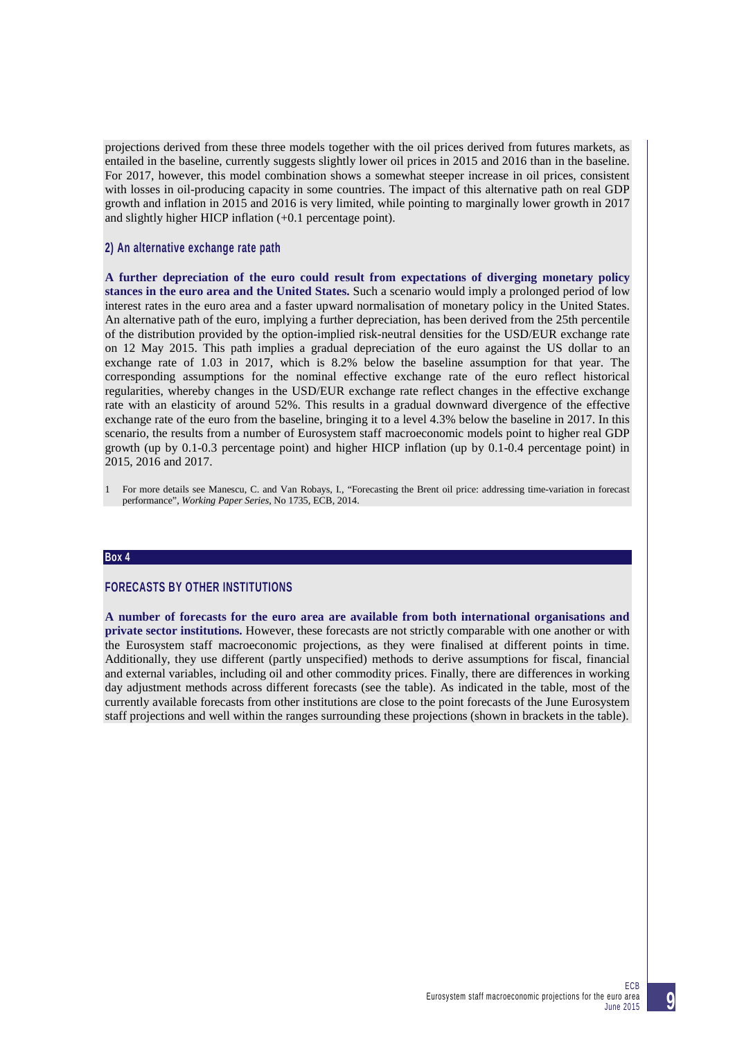projections derived from these three models together with the oil prices derived from futures markets, as entailed in the baseline, currently suggests slightly lower oil prices in 2015 and 2016 than in the baseline. For 2017, however, this model combination shows a somewhat steeper increase in oil prices, consistent with losses in oil-producing capacity in some countries. The impact of this alternative path on real GDP growth and inflation in 2015 and 2016 is very limited, while pointing to marginally lower growth in 2017 and slightly higher HICP inflation (+0.1 percentage point).

# **2) An alternative exchange rate path**

**A further depreciation of the euro could result from expectations of diverging monetary policy stances in the euro area and the United States.** Such a scenario would imply a prolonged period of low interest rates in the euro area and a faster upward normalisation of monetary policy in the United States. An alternative path of the euro, implying a further depreciation, has been derived from the 25th percentile of the distribution provided by the option-implied risk-neutral densities for the USD/EUR exchange rate on 12 May 2015. This path implies a gradual depreciation of the euro against the US dollar to an exchange rate of 1.03 in 2017, which is 8.2% below the baseline assumption for that year. The corresponding assumptions for the nominal effective exchange rate of the euro reflect historical regularities, whereby changes in the USD/EUR exchange rate reflect changes in the effective exchange rate with an elasticity of around 52%. This results in a gradual downward divergence of the effective exchange rate of the euro from the baseline, bringing it to a level 4.3% below the baseline in 2017. In this scenario, the results from a number of Eurosystem staff macroeconomic models point to higher real GDP growth (up by 0.1-0.3 percentage point) and higher HICP inflation (up by 0.1-0.4 percentage point) in 2015, 2016 and 2017.

1 For more details see Manescu, C. and Van Robays, I., "Forecasting the Brent oil price: addressing time-variation in forecast performance", *Working Paper Series*, No 1735, ECB, 2014.

#### **Box 4**

# **FORECASTS BY OTHER INSTITUTIONS**

**A number of forecasts for the euro area are available from both international organisations and private sector institutions.** However, these forecasts are not strictly comparable with one another or with the Eurosystem staff macroeconomic projections, as they were finalised at different points in time. Additionally, they use different (partly unspecified) methods to derive assumptions for fiscal, financial and external variables, including oil and other commodity prices. Finally, there are differences in working day adjustment methods across different forecasts (see the table). As indicated in the table, most of the currently available forecasts from other institutions are close to the point forecasts of the June Eurosystem staff projections and well within the ranges surrounding these projections (shown in brackets in the table).